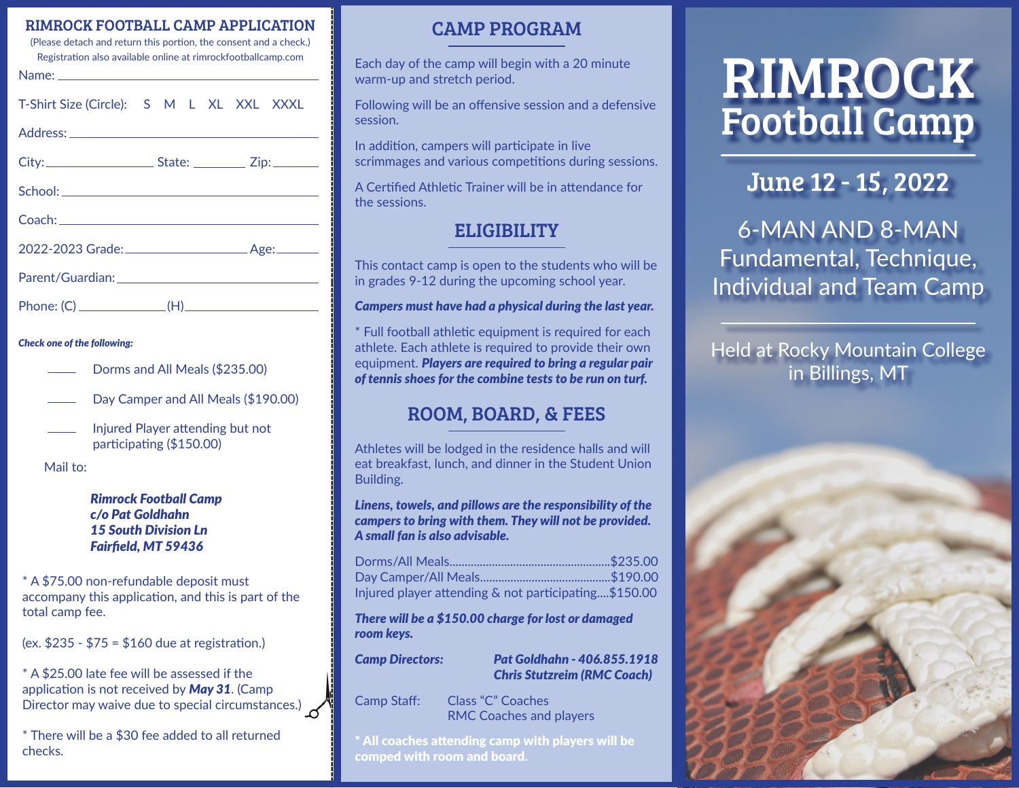#### RIMROCK FOOTBALL CAMP APPLICATION

(Please detach and return this portion, the consent and a check.) Registration also available online at rimrockfootballcamp.com

| ۰. |  |  |
|----|--|--|
|    |  |  |

| T-Shirt Size (Circle): S M L XL XXL XXXL |  |
|------------------------------------------|--|
|------------------------------------------|--|

Address:

School:

| City: | State: | $\angle$ ip: |
|-------|--------|--------------|
|       |        |              |

| <b>SCHOOI:</b> . |  |  |  |
|------------------|--|--|--|
|                  |  |  |  |
|                  |  |  |  |
|                  |  |  |  |

| 2022-2023 Grade: | . Age: |
|------------------|--------|

Coach:

Parent/Guardian:

Phone:  $(C)$  (H)

#### *Check one of the following:*

- Dorms and All Meals (\$235.00)
- Day Camper and All Meals (\$190.00)
- Injured Player attending but not participating (\$150.00)

Mail to:

*Rimrock Football Camp c/o Pat Goldhahn 15 South Division Ln Fairfield, MT 59436*

\* A \$75.00 non-refundable deposit must accompany this application, and this is part of the total camp fee.

(ex. \$235 - \$75 = \$160 due at registration.)

\* A \$25.00 late fee will be assessed if the application is not received by *May 31*. (Camp Director may waive due to special circumstances.)  $\mathcal S$ 

\* There will be a \$30 fee added to all returned checks.

### CAMP PROGRAM

Each day of the camp will begin with a 20 minute warm-up and stretch period.

Following will be an offensive session and a defensive session.

In addition, campers will participate in live scrimmages and various competitions during sessions.

A Certified Athletic Trainer will be in attendance for the sessions.

## **ELIGIBILITY**

This contact camp is open to the students who will be in grades 9-12 during the upcoming school year.

*Campers must have had a physical during the last year.*

\* Full football athletic equipment is required for each athlete. Each athlete is required to provide their own equipment. *Players are required to bring a regular pair of tennis shoes for the combine tests to be run on turf.*

# ROOM, BOARD, & FEES

Athletes will be lodged in the residence halls and will eat breakfast, lunch, and dinner in the Student Union Building.

*Linens, towels, and pillows are the responsibility of the campers to bring with them. They will not be provided. A small fan is also advisable.*

| Injured player attending & not participating\$150.00 |  |
|------------------------------------------------------|--|

*There will be a \$150.00 charge for lost or damaged room keys.*

*Camp Directors: Pat Goldhahn - 406.855.1918 Chris Stutzreim (RMC Coach)*

Camp Staff: Class "C" Coaches RMC Coaches and players

\* All coaches attending camp with players will be comped with room and board.

# Football Camp RIMROCK

# June 12 - 15, 2022

6-MAN AND 8-MAN Fundamental, Technique, Individual and Team Camp

Held at Rocky Mountain College in Billings, MT